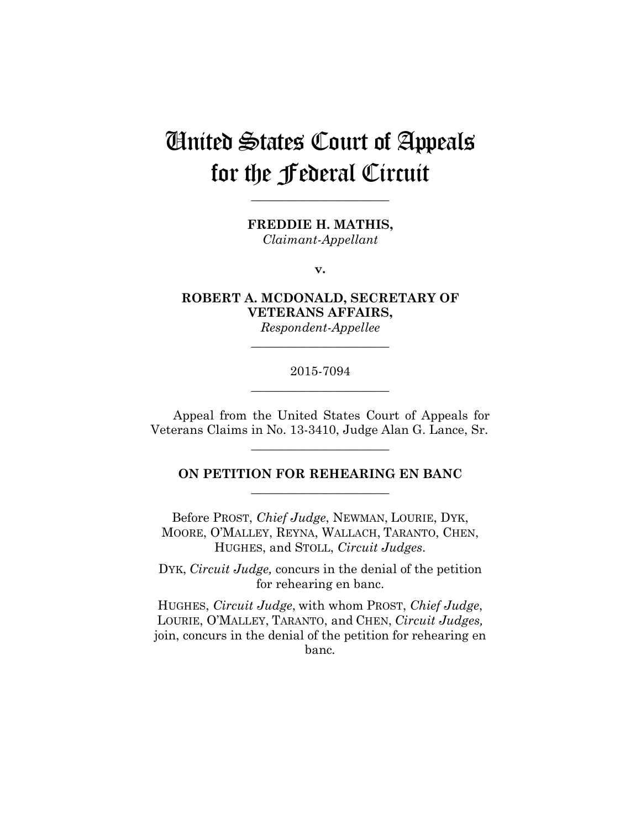# United States Court of Appeals for the Federal Circuit

**FREDDIE H. MATHIS,**

**\_\_\_\_\_\_\_\_\_\_\_\_\_\_\_\_\_\_\_\_\_\_** 

*Claimant-Appellant*

**v.**

**ROBERT A. MCDONALD, SECRETARY OF VETERANS AFFAIRS,**

*Respondent-Appellee* **\_\_\_\_\_\_\_\_\_\_\_\_\_\_\_\_\_\_\_\_\_\_** 

## 2015-7094 **\_\_\_\_\_\_\_\_\_\_\_\_\_\_\_\_\_\_\_\_\_\_**

Appeal from the United States Court of Appeals for Veterans Claims in No. 13-3410, Judge Alan G. Lance, Sr.

**\_\_\_\_\_\_\_\_\_\_\_\_\_\_\_\_\_\_\_\_\_\_** 

## **ON PETITION FOR REHEARING EN BANC \_\_\_\_\_\_\_\_\_\_\_\_\_\_\_\_\_\_\_\_\_\_**

Before PROST, *Chief Judge*, NEWMAN, LOURIE, DYK, MOORE, O'MALLEY, REYNA, WALLACH, TARANTO, CHEN, HUGHES, and STOLL, *Circuit Judges*.

DYK, *Circuit Judge,* concurs in the denial of the petition for rehearing en banc.

HUGHES, *Circuit Judge*, with whom PROST, *Chief Judge*, LOURIE, O'MALLEY, TARANTO, and CHEN, *Circuit Judges,* join, concurs in the denial of the petition for rehearing en banc*.*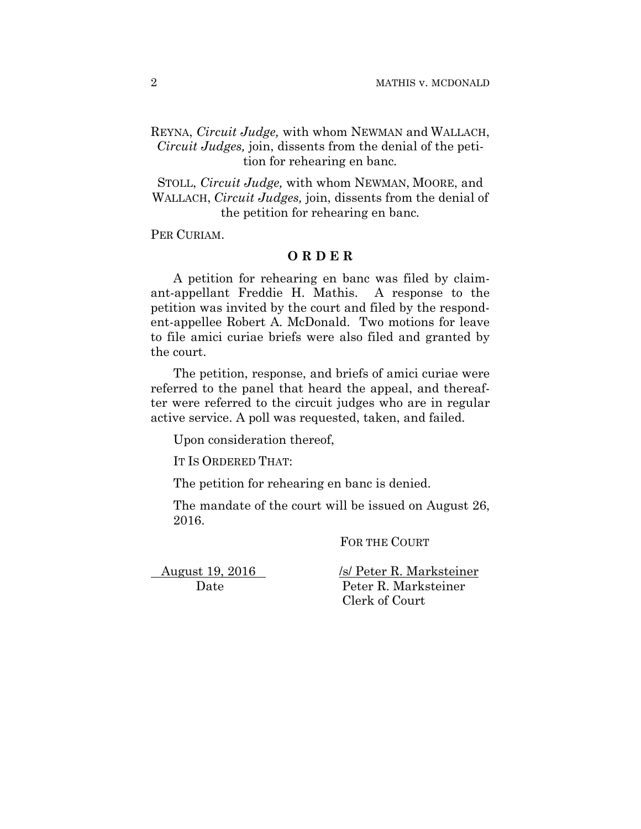REYNA, *Circuit Judge,* with whom NEWMAN and WALLACH, *Circuit Judges,* join, dissents from the denial of the petition for rehearing en banc*.*

STOLL, *Circuit Judge,* with whom NEWMAN, MOORE, and WALLACH, *Circuit Judges,* join, dissents from the denial of the petition for rehearing en banc*.*

PER CURIAM.

## **O R D E R**

 A petition for rehearing en banc was filed by claimant-appellant Freddie H. Mathis. A response to the petition was invited by the court and filed by the respondent-appellee Robert A. McDonald. Two motions for leave to file amici curiae briefs were also filed and granted by the court.

The petition, response, and briefs of amici curiae were referred to the panel that heard the appeal, and thereafter were referred to the circuit judges who are in regular active service. A poll was requested, taken, and failed.

Upon consideration thereof,

IT IS ORDERED THAT:

The petition for rehearing en banc is denied.

The mandate of the court will be issued on August 26, 2016.

FOR THE COURT

August 19, 2016 /s/ Peter R. Marksteiner Date Peter R. Marksteiner Clerk of Court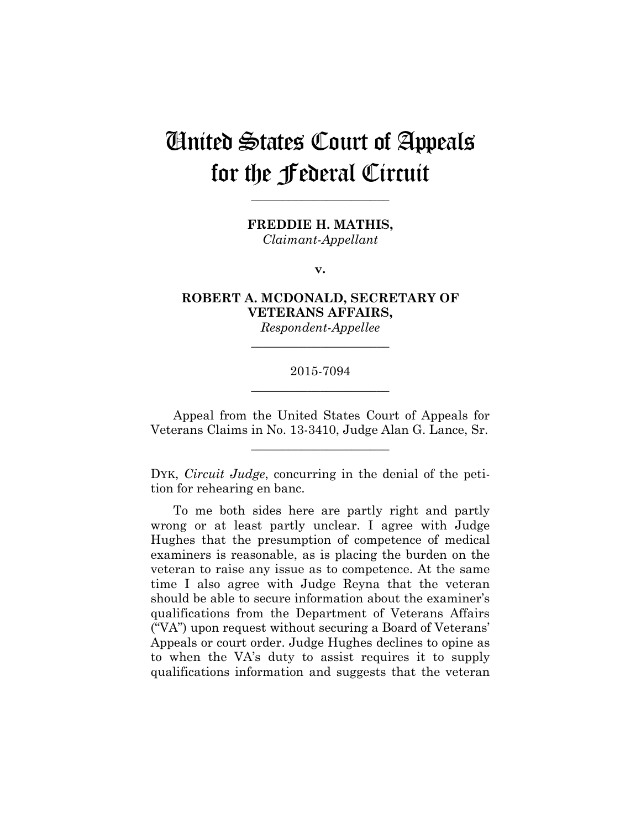# United States Court of Appeals for the Federal Circuit

**FREDDIE H. MATHIS,**

**\_\_\_\_\_\_\_\_\_\_\_\_\_\_\_\_\_\_\_\_\_\_** 

*Claimant-Appellant*

**v.**

**ROBERT A. MCDONALD, SECRETARY OF VETERANS AFFAIRS,**

*Respondent-Appellee* **\_\_\_\_\_\_\_\_\_\_\_\_\_\_\_\_\_\_\_\_\_\_** 

## 2015-7094 **\_\_\_\_\_\_\_\_\_\_\_\_\_\_\_\_\_\_\_\_\_\_**

Appeal from the United States Court of Appeals for Veterans Claims in No. 13-3410, Judge Alan G. Lance, Sr.

**\_\_\_\_\_\_\_\_\_\_\_\_\_\_\_\_\_\_\_\_\_\_** 

DYK, *Circuit Judge*, concurring in the denial of the petition for rehearing en banc.

To me both sides here are partly right and partly wrong or at least partly unclear. I agree with Judge Hughes that the presumption of competence of medical examiners is reasonable, as is placing the burden on the veteran to raise any issue as to competence. At the same time I also agree with Judge Reyna that the veteran should be able to secure information about the examiner's qualifications from the Department of Veterans Affairs ("VA") upon request without securing a Board of Veterans' Appeals or court order. Judge Hughes declines to opine as to when the VA's duty to assist requires it to supply qualifications information and suggests that the veteran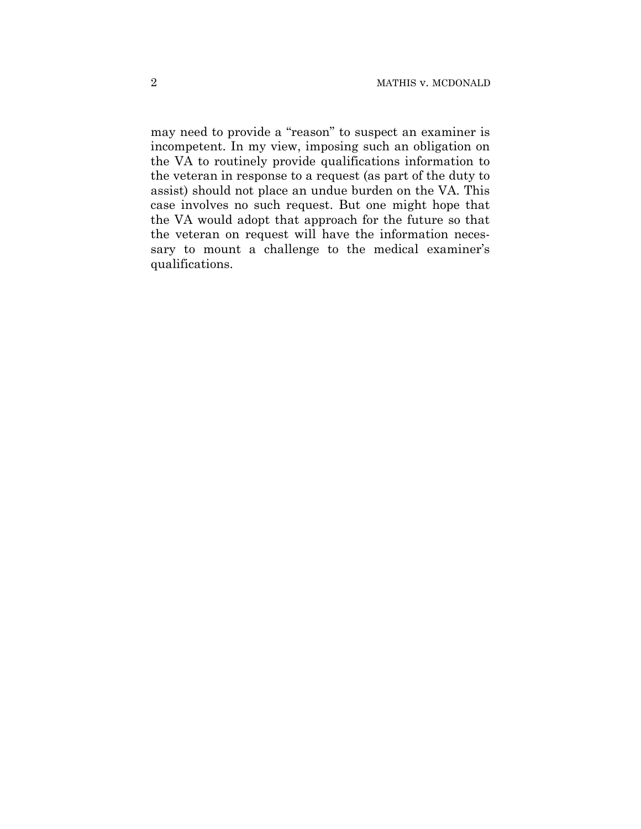may need to provide a "reason" to suspect an examiner is incompetent. In my view, imposing such an obligation on the VA to routinely provide qualifications information to the veteran in response to a request (as part of the duty to assist) should not place an undue burden on the VA. This case involves no such request. But one might hope that the VA would adopt that approach for the future so that the veteran on request will have the information necessary to mount a challenge to the medical examiner's qualifications.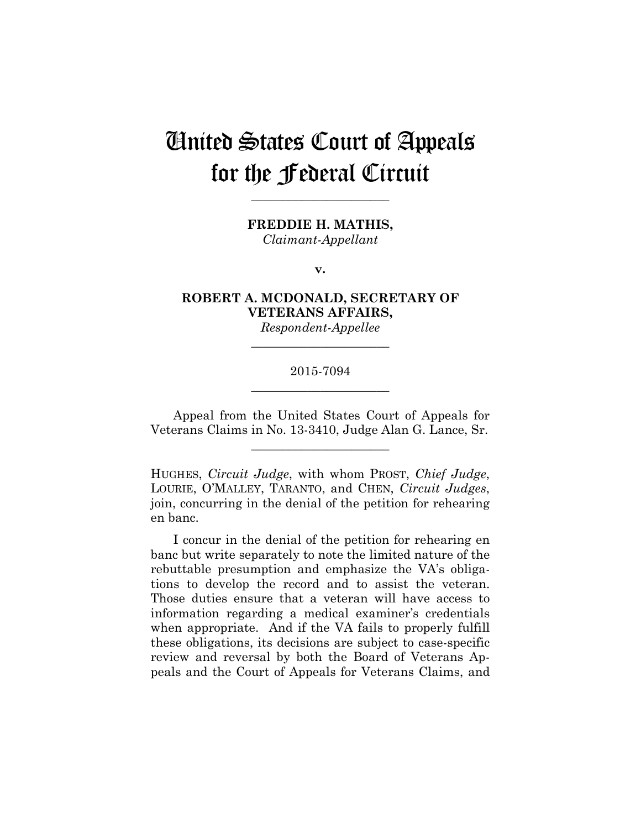## United States Court of Appeals for the Federal Circuit

**FREDDIE H. MATHIS,**

**\_\_\_\_\_\_\_\_\_\_\_\_\_\_\_\_\_\_\_\_\_\_** 

*Claimant-Appellant*

**v.**

**ROBERT A. MCDONALD, SECRETARY OF VETERANS AFFAIRS,**

*Respondent-Appellee* **\_\_\_\_\_\_\_\_\_\_\_\_\_\_\_\_\_\_\_\_\_\_** 

## 2015-7094 **\_\_\_\_\_\_\_\_\_\_\_\_\_\_\_\_\_\_\_\_\_\_**

Appeal from the United States Court of Appeals for Veterans Claims in No. 13-3410, Judge Alan G. Lance, Sr.

**\_\_\_\_\_\_\_\_\_\_\_\_\_\_\_\_\_\_\_\_\_\_** 

HUGHES, *Circuit Judge*, with whom PROST, *Chief Judge*, LOURIE, O'MALLEY, TARANTO, and CHEN, *Circuit Judges*, join, concurring in the denial of the petition for rehearing en banc.

I concur in the denial of the petition for rehearing en banc but write separately to note the limited nature of the rebuttable presumption and emphasize the VA's obligations to develop the record and to assist the veteran. Those duties ensure that a veteran will have access to information regarding a medical examiner's credentials when appropriate. And if the VA fails to properly fulfill these obligations, its decisions are subject to case-specific review and reversal by both the Board of Veterans Appeals and the Court of Appeals for Veterans Claims, and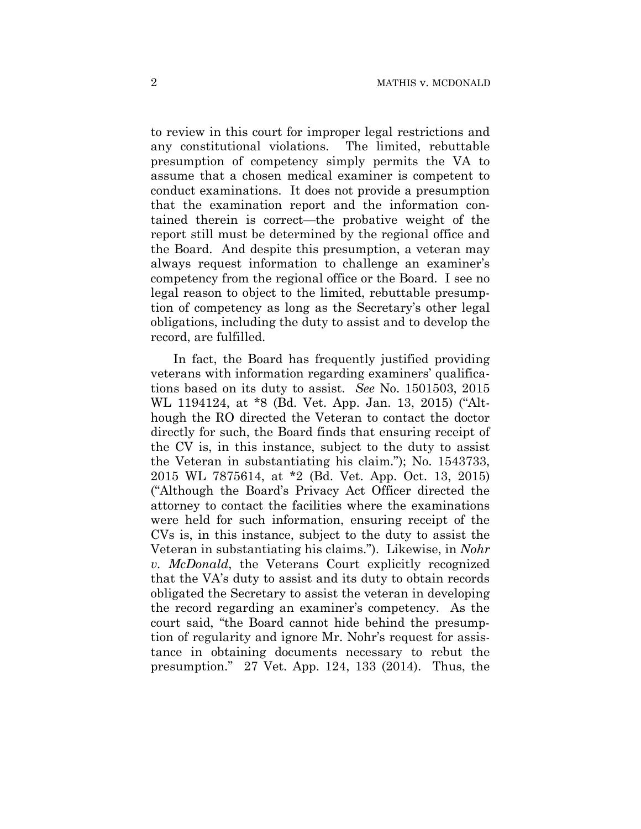to review in this court for improper legal restrictions and any constitutional violations. The limited, rebuttable presumption of competency simply permits the VA to assume that a chosen medical examiner is competent to conduct examinations. It does not provide a presumption that the examination report and the information contained therein is correct—the probative weight of the report still must be determined by the regional office and the Board. And despite this presumption, a veteran may always request information to challenge an examiner's competency from the regional office or the Board. I see no legal reason to object to the limited, rebuttable presumption of competency as long as the Secretary's other legal obligations, including the duty to assist and to develop the record, are fulfilled.

In fact, the Board has frequently justified providing veterans with information regarding examiners' qualifications based on its duty to assist. *See* No. 1501503, 2015 WL 1194124, at \*8 (Bd. Vet. App. Jan. 13, 2015) ("Although the RO directed the Veteran to contact the doctor directly for such, the Board finds that ensuring receipt of the CV is, in this instance, subject to the duty to assist the Veteran in substantiating his claim."); No. 1543733, 2015 WL 7875614, at \*2 (Bd. Vet. App. Oct. 13, 2015) ("Although the Board's Privacy Act Officer directed the attorney to contact the facilities where the examinations were held for such information, ensuring receipt of the CVs is, in this instance, subject to the duty to assist the Veteran in substantiating his claims."). Likewise, in *Nohr v. McDonald*, the Veterans Court explicitly recognized that the VA's duty to assist and its duty to obtain records obligated the Secretary to assist the veteran in developing the record regarding an examiner's competency. As the court said, "the Board cannot hide behind the presumption of regularity and ignore Mr. Nohr's request for assistance in obtaining documents necessary to rebut the presumption." 27 Vet. App. 124, 133 (2014). Thus, the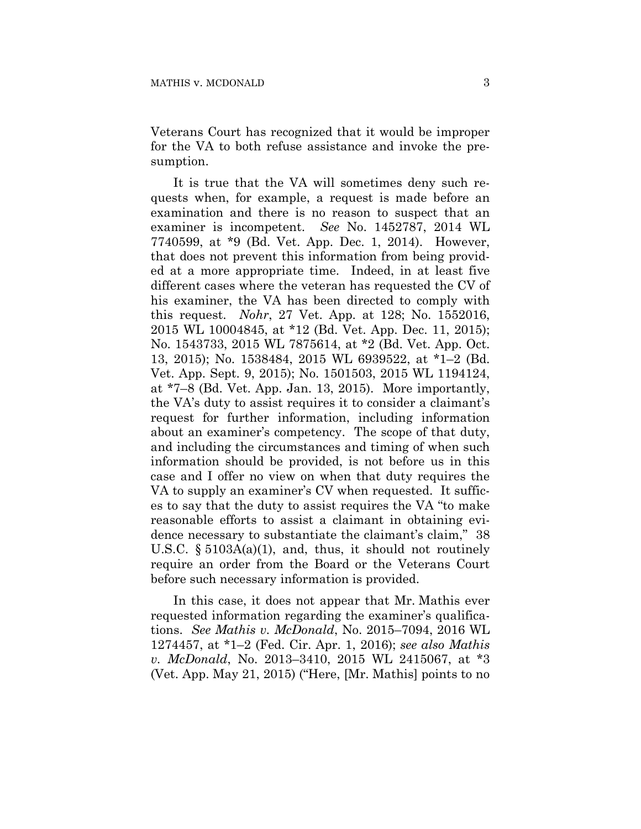Veterans Court has recognized that it would be improper for the VA to both refuse assistance and invoke the presumption.

It is true that the VA will sometimes deny such requests when, for example, a request is made before an examination and there is no reason to suspect that an examiner is incompetent. *See* No. 1452787, 2014 WL 7740599, at \*9 (Bd. Vet. App. Dec. 1, 2014). However, that does not prevent this information from being provided at a more appropriate time. Indeed, in at least five different cases where the veteran has requested the CV of his examiner, the VA has been directed to comply with this request. *Nohr*, 27 Vet. App. at 128; No. 1552016, 2015 WL 10004845, at \*12 (Bd. Vet. App. Dec. 11, 2015); No. 1543733, 2015 WL 7875614, at \*2 (Bd. Vet. App. Oct. 13, 2015); No. 1538484, 2015 WL 6939522, at \*1–2 (Bd. Vet. App. Sept. 9, 2015); No. 1501503, 2015 WL 1194124, at \*7–8 (Bd. Vet. App. Jan. 13, 2015). More importantly, the VA's duty to assist requires it to consider a claimant's request for further information, including information about an examiner's competency. The scope of that duty, and including the circumstances and timing of when such information should be provided, is not before us in this case and I offer no view on when that duty requires the VA to supply an examiner's CV when requested. It suffices to say that the duty to assist requires the VA "to make reasonable efforts to assist a claimant in obtaining evidence necessary to substantiate the claimant's claim," 38 U.S.C. § 5103A(a)(1), and, thus, it should not routinely require an order from the Board or the Veterans Court before such necessary information is provided.

In this case, it does not appear that Mr. Mathis ever requested information regarding the examiner's qualifications. *See Mathis v. McDonald*, No. 2015–7094, 2016 WL 1274457, at \*1–2 (Fed. Cir. Apr. 1, 2016); *see also Mathis v. McDonald*, No. 2013–3410, 2015 WL 2415067, at \*3 (Vet. App. May 21, 2015) ("Here, [Mr. Mathis] points to no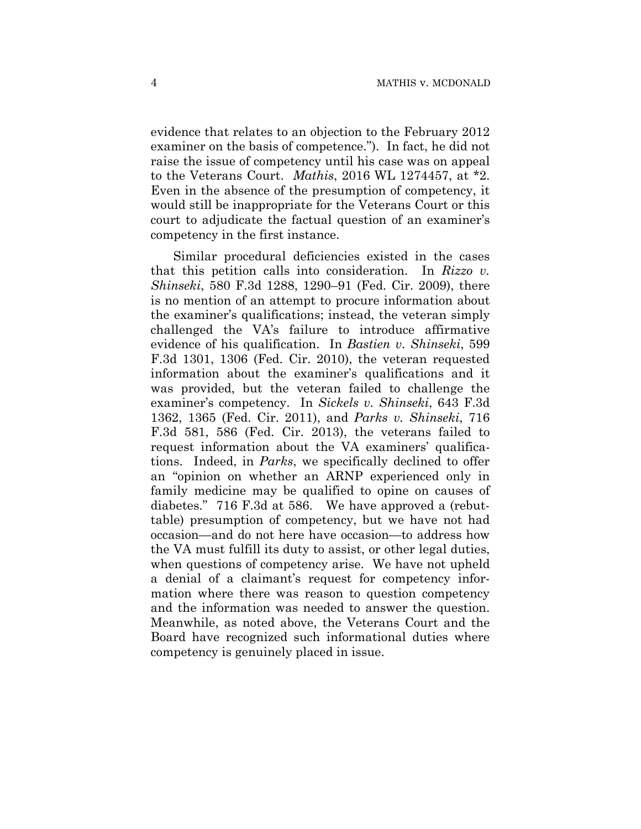evidence that relates to an objection to the February 2012 examiner on the basis of competence."). In fact, he did not raise the issue of competency until his case was on appeal to the Veterans Court. *Mathis*, 2016 WL 1274457, at \*2. Even in the absence of the presumption of competency, it would still be inappropriate for the Veterans Court or this court to adjudicate the factual question of an examiner's competency in the first instance.

Similar procedural deficiencies existed in the cases that this petition calls into consideration. In *Rizzo v. Shinseki*, 580 F.3d 1288, 1290–91 (Fed. Cir. 2009), there is no mention of an attempt to procure information about the examiner's qualifications; instead, the veteran simply challenged the VA's failure to introduce affirmative evidence of his qualification. In *Bastien v. Shinseki*, 599 F.3d 1301, 1306 (Fed. Cir. 2010), the veteran requested information about the examiner's qualifications and it was provided, but the veteran failed to challenge the examiner's competency. In *Sickels v. Shinseki*, 643 F.3d 1362, 1365 (Fed. Cir. 2011), and *Parks v. Shinseki*, 716 F.3d 581, 586 (Fed. Cir. 2013), the veterans failed to request information about the VA examiners' qualifications. Indeed, in *Parks*, we specifically declined to offer an "opinion on whether an ARNP experienced only in family medicine may be qualified to opine on causes of diabetes." 716 F.3d at 586. We have approved a (rebuttable) presumption of competency, but we have not had occasion—and do not here have occasion—to address how the VA must fulfill its duty to assist, or other legal duties, when questions of competency arise. We have not upheld a denial of a claimant's request for competency information where there was reason to question competency and the information was needed to answer the question. Meanwhile, as noted above, the Veterans Court and the Board have recognized such informational duties where competency is genuinely placed in issue.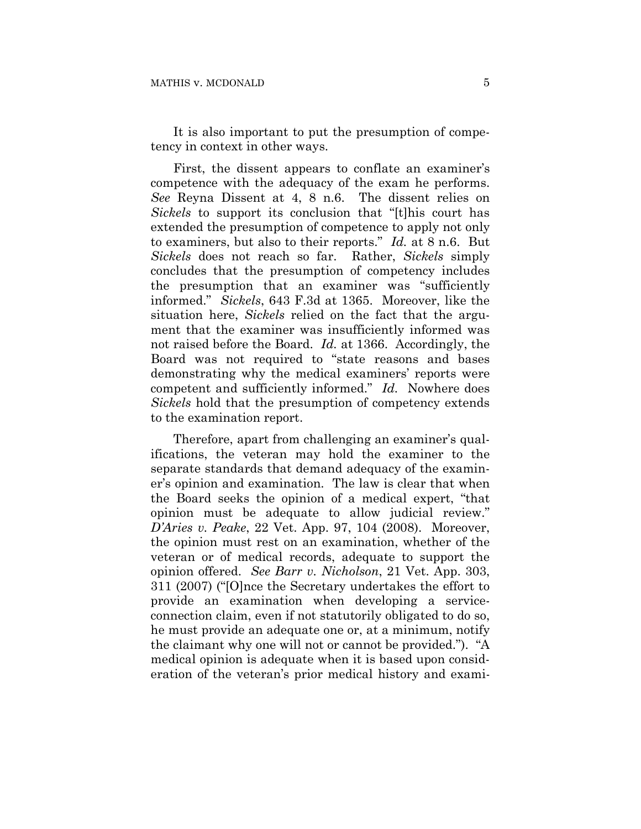It is also important to put the presumption of competency in context in other ways.

First, the dissent appears to conflate an examiner's competence with the adequacy of the exam he performs. *See* Reyna Dissent at 4, 8 n.6. The dissent relies on *Sickels* to support its conclusion that "[t]his court has extended the presumption of competence to apply not only to examiners, but also to their reports." *Id.* at 8 n.6. But *Sickels* does not reach so far. Rather, *Sickels* simply concludes that the presumption of competency includes the presumption that an examiner was "sufficiently informed." *Sickels*, 643 F.3d at 1365. Moreover, like the situation here, *Sickels* relied on the fact that the argument that the examiner was insufficiently informed was not raised before the Board. *Id.* at 1366. Accordingly, the Board was not required to "state reasons and bases demonstrating why the medical examiners' reports were competent and sufficiently informed." *Id.* Nowhere does *Sickels* hold that the presumption of competency extends to the examination report.

Therefore, apart from challenging an examiner's qualifications, the veteran may hold the examiner to the separate standards that demand adequacy of the examiner's opinion and examination. The law is clear that when the Board seeks the opinion of a medical expert, "that opinion must be adequate to allow judicial review." *D'Aries v. Peake*, 22 Vet. App. 97, 104 (2008). Moreover, the opinion must rest on an examination, whether of the veteran or of medical records, adequate to support the opinion offered. *See Barr v. Nicholson*, 21 Vet. App. 303, 311 (2007) ("[O]nce the Secretary undertakes the effort to provide an examination when developing a serviceconnection claim, even if not statutorily obligated to do so, he must provide an adequate one or, at a minimum, notify the claimant why one will not or cannot be provided."). "A medical opinion is adequate when it is based upon consideration of the veteran's prior medical history and exami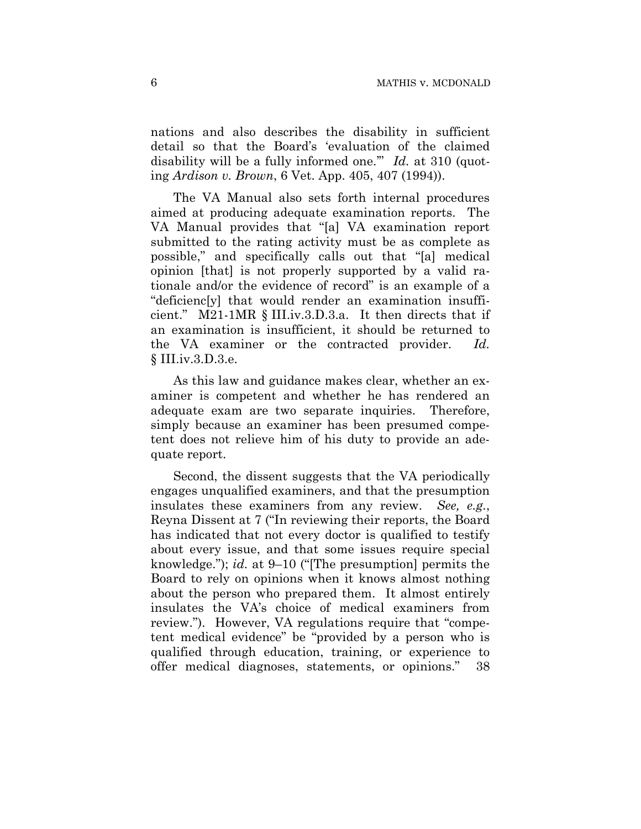nations and also describes the disability in sufficient detail so that the Board's 'evaluation of the claimed disability will be a fully informed one." *Id.* at 310 (quoting *Ardison v. Brown*, 6 Vet. App. 405, 407 (1994)).

The VA Manual also sets forth internal procedures aimed at producing adequate examination reports. The VA Manual provides that "[a] VA examination report submitted to the rating activity must be as complete as possible," and specifically calls out that "[a] medical opinion [that] is not properly supported by a valid rationale and/or the evidence of record" is an example of a "deficienc[y] that would render an examination insufficient." M21-1MR § III.iv.3.D.3.a. It then directs that if an examination is insufficient, it should be returned to the VA examiner or the contracted provider. *Id.* § III.iv.3.D.3.e.

As this law and guidance makes clear, whether an examiner is competent and whether he has rendered an adequate exam are two separate inquiries. Therefore, simply because an examiner has been presumed competent does not relieve him of his duty to provide an adequate report.

Second, the dissent suggests that the VA periodically engages unqualified examiners, and that the presumption insulates these examiners from any review. *See, e.g.*, Reyna Dissent at 7 ("In reviewing their reports, the Board has indicated that not every doctor is qualified to testify about every issue, and that some issues require special knowledge."); *id.* at 9–10 ("[The presumption] permits the Board to rely on opinions when it knows almost nothing about the person who prepared them. It almost entirely insulates the VA's choice of medical examiners from review."). However, VA regulations require that "competent medical evidence" be "provided by a person who is qualified through education, training, or experience to offer medical diagnoses, statements, or opinions." 38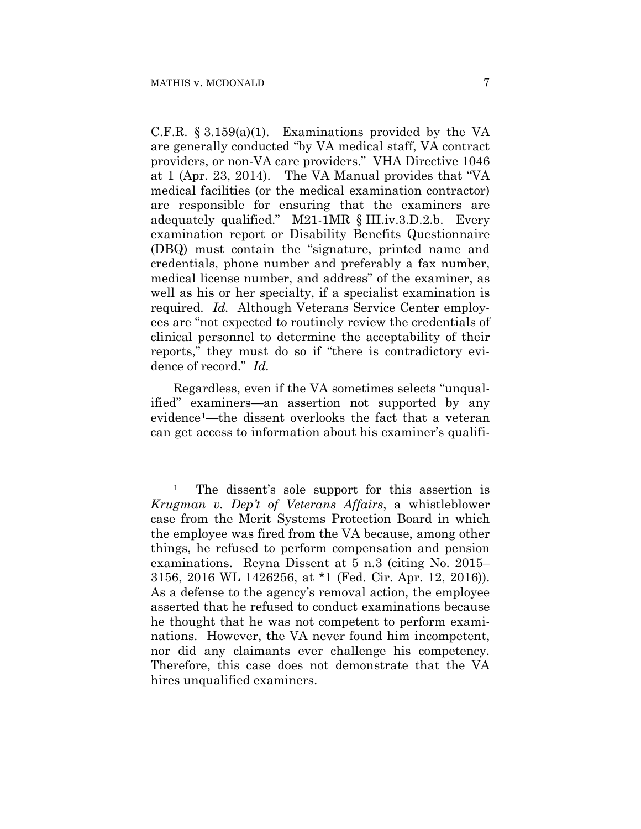1

C.F.R.  $\S 3.159(a)(1)$ . Examinations provided by the VA are generally conducted "by VA medical staff, VA contract providers, or non-VA care providers." VHA Directive 1046 at 1 (Apr. 23, 2014). The VA Manual provides that "VA medical facilities (or the medical examination contractor) are responsible for ensuring that the examiners are adequately qualified." M21-1MR § III.iv.3.D.2.b. Every examination report or Disability Benefits Questionnaire (DBQ) must contain the "signature, printed name and credentials, phone number and preferably a fax number, medical license number, and address" of the examiner, as well as his or her specialty, if a specialist examination is required. *Id.* Although Veterans Service Center employees are "not expected to routinely review the credentials of clinical personnel to determine the acceptability of their reports," they must do so if "there is contradictory evidence of record." *Id.*

Regardless, even if the VA sometimes selects "unqualified" examiners—an assertion not supported by any evidence1—the dissent overlooks the fact that a veteran can get access to information about his examiner's qualifi-

<sup>&</sup>lt;sup>1</sup> The dissent's sole support for this assertion is *Krugman v. Dep't of Veterans Affairs*, a whistleblower case from the Merit Systems Protection Board in which the employee was fired from the VA because, among other things, he refused to perform compensation and pension examinations. Reyna Dissent at 5 n.3 (citing No. 2015– 3156, 2016 WL 1426256, at \*1 (Fed. Cir. Apr. 12, 2016)). As a defense to the agency's removal action, the employee asserted that he refused to conduct examinations because he thought that he was not competent to perform examinations. However, the VA never found him incompetent, nor did any claimants ever challenge his competency. Therefore, this case does not demonstrate that the VA hires unqualified examiners.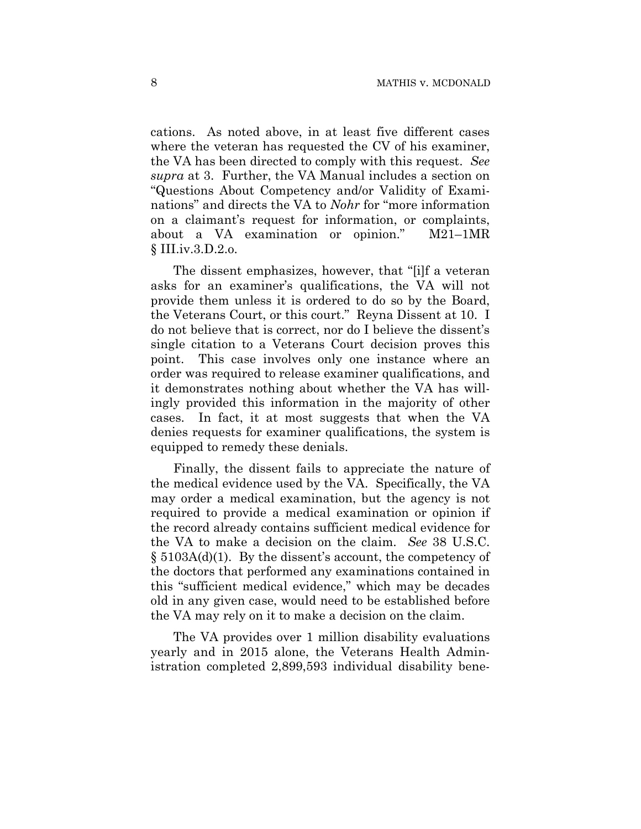cations. As noted above, in at least five different cases where the veteran has requested the CV of his examiner, the VA has been directed to comply with this request. *See supra* at 3. Further, the VA Manual includes a section on "Questions About Competency and/or Validity of Examinations" and directs the VA to *Nohr* for "more information on a claimant's request for information, or complaints, about a VA examination or opinion." M21–1MR § III.iv.3.D.2.o.

The dissent emphasizes, however, that "[i]f a veteran asks for an examiner's qualifications, the VA will not provide them unless it is ordered to do so by the Board, the Veterans Court, or this court." Reyna Dissent at 10. I do not believe that is correct, nor do I believe the dissent's single citation to a Veterans Court decision proves this point. This case involves only one instance where an order was required to release examiner qualifications, and it demonstrates nothing about whether the VA has willingly provided this information in the majority of other cases. In fact, it at most suggests that when the VA denies requests for examiner qualifications, the system is equipped to remedy these denials.

Finally, the dissent fails to appreciate the nature of the medical evidence used by the VA. Specifically, the VA may order a medical examination, but the agency is not required to provide a medical examination or opinion if the record already contains sufficient medical evidence for the VA to make a decision on the claim. *See* 38 U.S.C. § 5103A(d)(1). By the dissent's account, the competency of the doctors that performed any examinations contained in this "sufficient medical evidence," which may be decades old in any given case, would need to be established before the VA may rely on it to make a decision on the claim.

The VA provides over 1 million disability evaluations yearly and in 2015 alone, the Veterans Health Administration completed 2,899,593 individual disability bene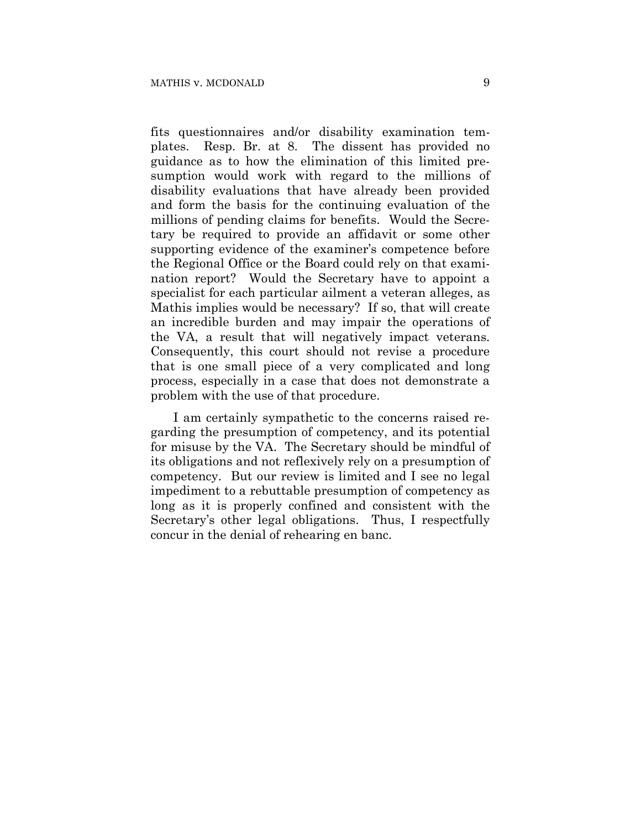fits questionnaires and/or disability examination templates. Resp. Br. at 8. The dissent has provided no guidance as to how the elimination of this limited presumption would work with regard to the millions of disability evaluations that have already been provided and form the basis for the continuing evaluation of the millions of pending claims for benefits. Would the Secretary be required to provide an affidavit or some other supporting evidence of the examiner's competence before the Regional Office or the Board could rely on that examination report? Would the Secretary have to appoint a specialist for each particular ailment a veteran alleges, as Mathis implies would be necessary? If so, that will create an incredible burden and may impair the operations of the VA, a result that will negatively impact veterans. Consequently, this court should not revise a procedure that is one small piece of a very complicated and long process, especially in a case that does not demonstrate a problem with the use of that procedure.

I am certainly sympathetic to the concerns raised regarding the presumption of competency, and its potential for misuse by the VA. The Secretary should be mindful of its obligations and not reflexively rely on a presumption of competency. But our review is limited and I see no legal impediment to a rebuttable presumption of competency as long as it is properly confined and consistent with the Secretary's other legal obligations. Thus, I respectfully concur in the denial of rehearing en banc.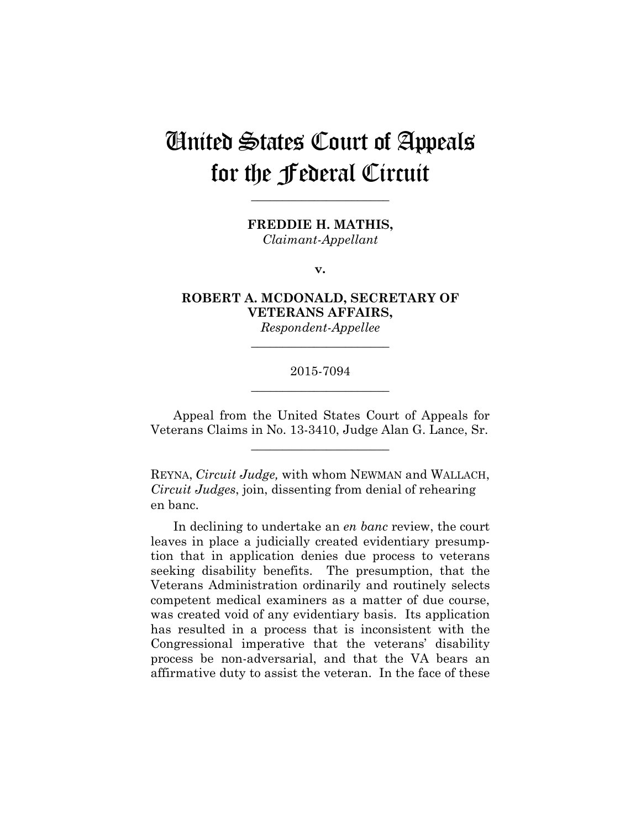# United States Court of Appeals for the Federal Circuit

**FREDDIE H. MATHIS,**

**\_\_\_\_\_\_\_\_\_\_\_\_\_\_\_\_\_\_\_\_\_\_** 

*Claimant-Appellant*

**v.**

**ROBERT A. MCDONALD, SECRETARY OF VETERANS AFFAIRS,**

*Respondent-Appellee* **\_\_\_\_\_\_\_\_\_\_\_\_\_\_\_\_\_\_\_\_\_\_** 

## 2015-7094 **\_\_\_\_\_\_\_\_\_\_\_\_\_\_\_\_\_\_\_\_\_\_**

Appeal from the United States Court of Appeals for Veterans Claims in No. 13-3410, Judge Alan G. Lance, Sr.

**\_\_\_\_\_\_\_\_\_\_\_\_\_\_\_\_\_\_\_\_\_\_** 

REYNA, *Circuit Judge,* with whom NEWMAN and WALLACH, *Circuit Judges*, join, dissenting from denial of rehearing en banc.

In declining to undertake an *en banc* review, the court leaves in place a judicially created evidentiary presumption that in application denies due process to veterans seeking disability benefits. The presumption, that the Veterans Administration ordinarily and routinely selects competent medical examiners as a matter of due course, was created void of any evidentiary basis. Its application has resulted in a process that is inconsistent with the Congressional imperative that the veterans' disability process be non-adversarial, and that the VA bears an affirmative duty to assist the veteran. In the face of these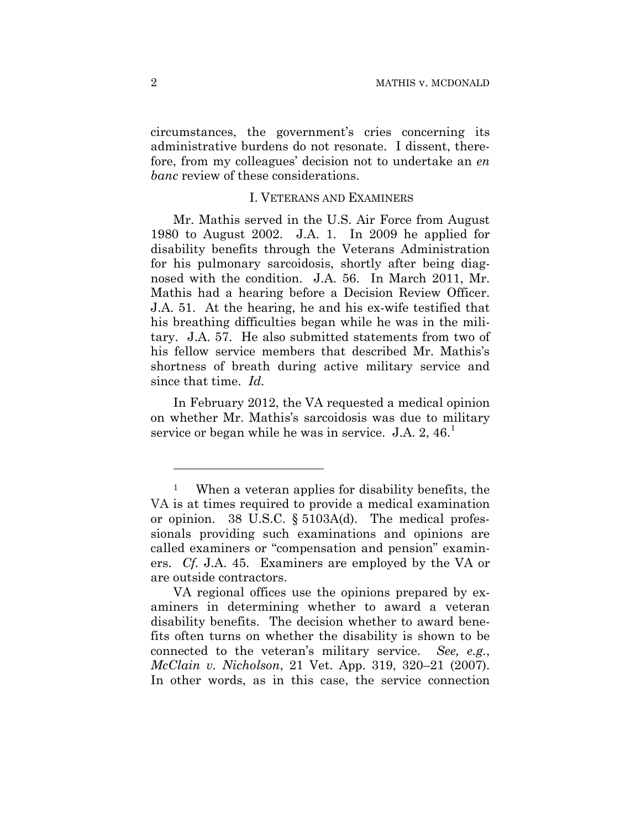circumstances, the government's cries concerning its administrative burdens do not resonate. I dissent, therefore, from my colleagues' decision not to undertake an *en banc* review of these considerations.

#### I. VETERANS AND EXAMINERS

Mr. Mathis served in the U.S. Air Force from August 1980 to August 2002. J.A. 1. In 2009 he applied for disability benefits through the Veterans Administration for his pulmonary sarcoidosis, shortly after being diagnosed with the condition. J.A. 56. In March 2011, Mr. Mathis had a hearing before a Decision Review Officer. J.A. 51. At the hearing, he and his ex-wife testified that his breathing difficulties began while he was in the military. J.A. 57. He also submitted statements from two of his fellow service members that described Mr. Mathis's shortness of breath during active military service and since that time. *Id.*

In February 2012, the VA requested a medical opinion on whether Mr. Mathis's sarcoidosis was due to military service or began while he was in service. J.A.  $2, 46$ <sup>1</sup>

1

<sup>1</sup> When a veteran applies for disability benefits, the VA is at times required to provide a medical examination or opinion. 38 U.S.C. § 5103A(d). The medical professionals providing such examinations and opinions are called examiners or "compensation and pension" examiners. *Cf.* J.A. 45. Examiners are employed by the VA or are outside contractors.

VA regional offices use the opinions prepared by examiners in determining whether to award a veteran disability benefits. The decision whether to award benefits often turns on whether the disability is shown to be connected to the veteran's military service. *See, e.g.*, *McClain v. Nicholson*, 21 Vet. App. 319, 320–21 (2007). In other words, as in this case, the service connection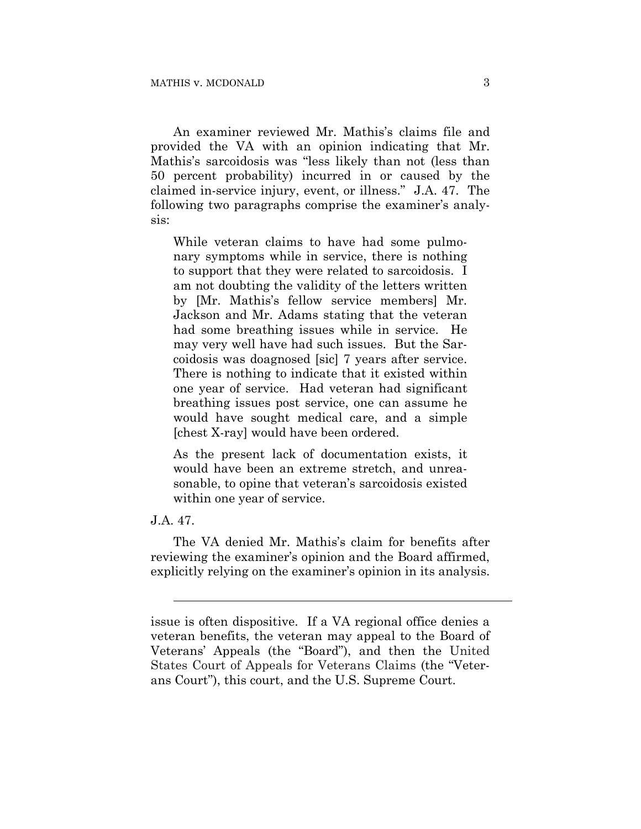An examiner reviewed Mr. Mathis's claims file and provided the VA with an opinion indicating that Mr. Mathis's sarcoidosis was "less likely than not (less than 50 percent probability) incurred in or caused by the claimed in-service injury, event, or illness." J.A. 47. The following two paragraphs comprise the examiner's analysis:

While veteran claims to have had some pulmonary symptoms while in service, there is nothing to support that they were related to sarcoidosis. I am not doubting the validity of the letters written by [Mr. Mathis's fellow service members] Mr. Jackson and Mr. Adams stating that the veteran had some breathing issues while in service. He may very well have had such issues. But the Sarcoidosis was doagnosed [sic] 7 years after service. There is nothing to indicate that it existed within one year of service. Had veteran had significant breathing issues post service, one can assume he would have sought medical care, and a simple [chest X-ray] would have been ordered.

As the present lack of documentation exists, it would have been an extreme stretch, and unreasonable, to opine that veteran's sarcoidosis existed within one year of service.

#### J.A. 47.

l

The VA denied Mr. Mathis's claim for benefits after reviewing the examiner's opinion and the Board affirmed, explicitly relying on the examiner's opinion in its analysis.

issue is often dispositive. If a VA regional office denies a veteran benefits, the veteran may appeal to the Board of Veterans' Appeals (the "Board"), and then the United States Court of Appeals for Veterans Claims (the "Veterans Court"), this court, and the U.S. Supreme Court.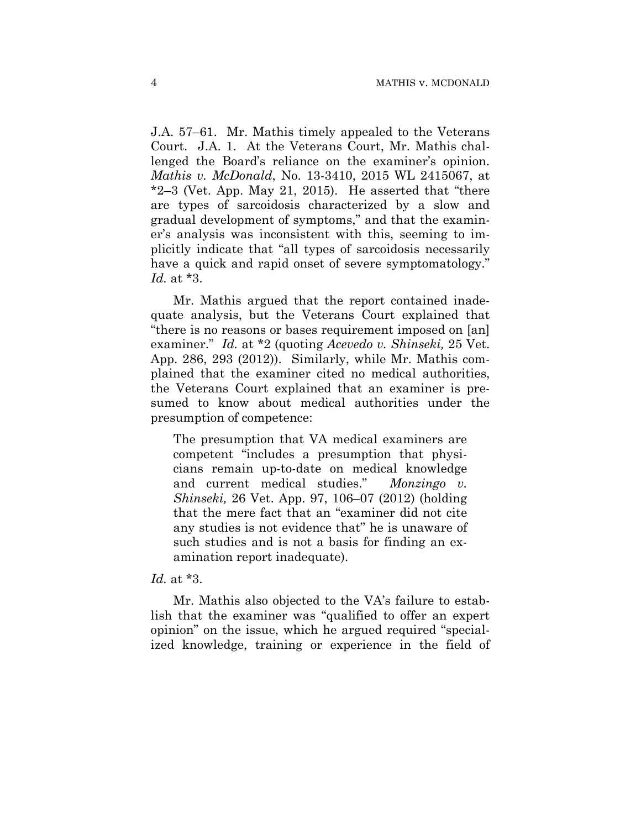J.A. 57–61. Mr. Mathis timely appealed to the Veterans Court. J.A. 1. At the Veterans Court, Mr. Mathis challenged the Board's reliance on the examiner's opinion. *Mathis v. McDonald*, No. 13-3410, 2015 WL 2415067, at  $*2-3$  (Vet. App. May 21, 2015). He asserted that "there" are types of sarcoidosis characterized by a slow and gradual development of symptoms," and that the examiner's analysis was inconsistent with this, seeming to implicitly indicate that "all types of sarcoidosis necessarily have a quick and rapid onset of severe symptomatology." *Id.* at \*3.

Mr. Mathis argued that the report contained inadequate analysis, but the Veterans Court explained that "there is no reasons or bases requirement imposed on [an] examiner." *Id.* at \*2 (quoting *Acevedo v. Shinseki,* 25 Vet. App. 286, 293 (2012)). Similarly, while Mr. Mathis complained that the examiner cited no medical authorities, the Veterans Court explained that an examiner is presumed to know about medical authorities under the presumption of competence:

The presumption that VA medical examiners are competent "includes a presumption that physicians remain up-to-date on medical knowledge and current medical studies." *Monzingo v. Shinseki,* 26 Vet. App. 97, 106–07 (2012) (holding that the mere fact that an "examiner did not cite any studies is not evidence that" he is unaware of such studies and is not a basis for finding an examination report inadequate).

#### *Id.* at \*3.

Mr. Mathis also objected to the VA's failure to establish that the examiner was "qualified to offer an expert opinion" on the issue, which he argued required "specialized knowledge, training or experience in the field of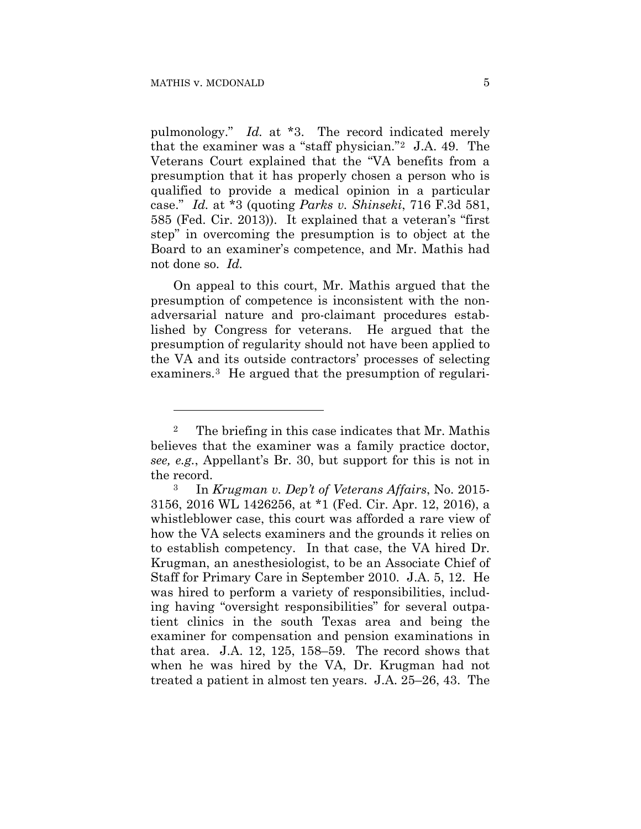1

pulmonology." *Id.* at \*3. The record indicated merely that the examiner was a "staff physician."2 J.A. 49. The Veterans Court explained that the "VA benefits from a presumption that it has properly chosen a person who is qualified to provide a medical opinion in a particular case." *Id.* at \*3 (quoting *Parks v. Shinseki*, 716 F.3d 581, 585 (Fed. Cir. 2013)). It explained that a veteran's "first step" in overcoming the presumption is to object at the Board to an examiner's competence, and Mr. Mathis had not done so. *Id.* 

On appeal to this court, Mr. Mathis argued that the presumption of competence is inconsistent with the nonadversarial nature and pro-claimant procedures established by Congress for veterans. He argued that the presumption of regularity should not have been applied to the VA and its outside contractors' processes of selecting examiners.3 He argued that the presumption of regulari-

<sup>2</sup> The briefing in this case indicates that Mr. Mathis believes that the examiner was a family practice doctor, *see, e.g.*, Appellant's Br. 30, but support for this is not in the record.

<sup>3</sup> In *Krugman v. Dep't of Veterans Affairs*, No. 2015- 3156, 2016 WL 1426256, at \*1 (Fed. Cir. Apr. 12, 2016), a whistleblower case, this court was afforded a rare view of how the VA selects examiners and the grounds it relies on to establish competency. In that case, the VA hired Dr. Krugman, an anesthesiologist, to be an Associate Chief of Staff for Primary Care in September 2010. J.A. 5, 12. He was hired to perform a variety of responsibilities, including having "oversight responsibilities" for several outpatient clinics in the south Texas area and being the examiner for compensation and pension examinations in that area. J.A. 12, 125, 158–59. The record shows that when he was hired by the VA, Dr. Krugman had not treated a patient in almost ten years. J.A. 25–26, 43. The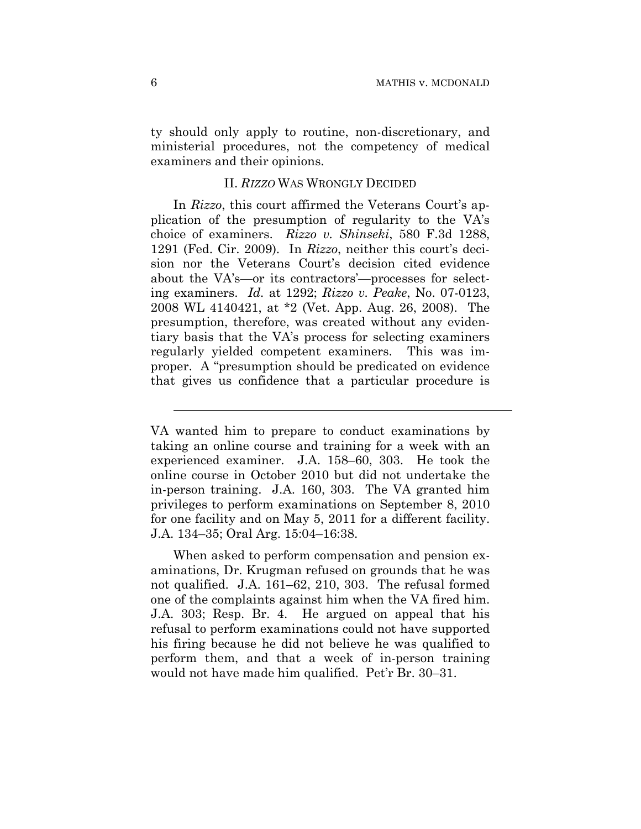ty should only apply to routine, non-discretionary, and ministerial procedures, not the competency of medical examiners and their opinions.

#### II. *RIZZO* WAS WRONGLY DECIDED

In *Rizzo*, this court affirmed the Veterans Court's application of the presumption of regularity to the VA's choice of examiners. *Rizzo v. Shinseki*, 580 F.3d 1288, 1291 (Fed. Cir. 2009). In *Rizzo*, neither this court's decision nor the Veterans Court's decision cited evidence about the VA's—or its contractors'—processes for selecting examiners. *Id.* at 1292; *Rizzo v. Peake*, No. 07-0123, 2008 WL 4140421, at \*2 (Vet. App. Aug. 26, 2008). The presumption, therefore, was created without any evidentiary basis that the VA's process for selecting examiners regularly yielded competent examiners. This was improper. A "presumption should be predicated on evidence that gives us confidence that a particular procedure is

When asked to perform compensation and pension examinations, Dr. Krugman refused on grounds that he was not qualified. J.A. 161–62, 210, 303. The refusal formed one of the complaints against him when the VA fired him. J.A. 303; Resp. Br. 4. He argued on appeal that his refusal to perform examinations could not have supported his firing because he did not believe he was qualified to perform them, and that a week of in-person training would not have made him qualified. Pet'r Br. 30–31.

l

VA wanted him to prepare to conduct examinations by taking an online course and training for a week with an experienced examiner. J.A. 158–60, 303. He took the online course in October 2010 but did not undertake the in-person training. J.A. 160, 303. The VA granted him privileges to perform examinations on September 8, 2010 for one facility and on May 5, 2011 for a different facility. J.A. 134–35; Oral Arg. 15:04–16:38.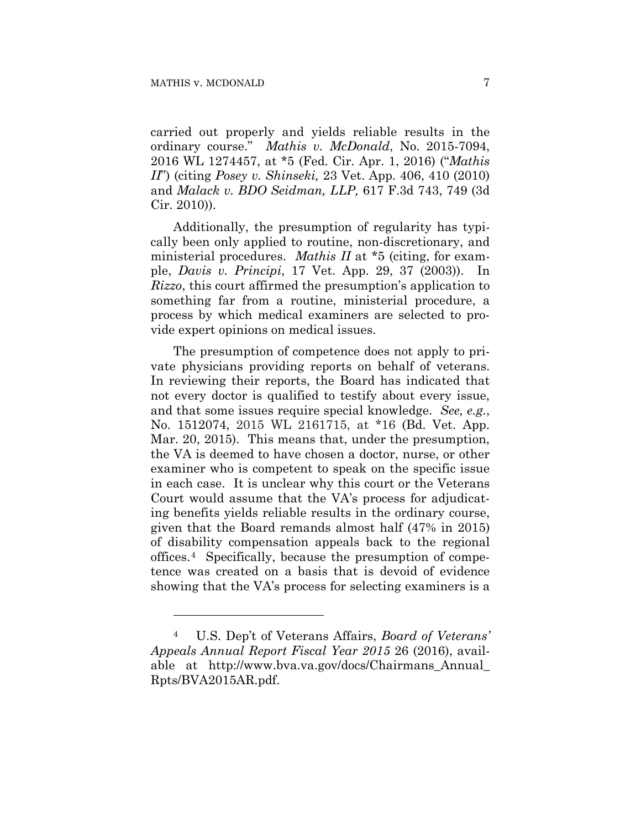<u>.</u>

carried out properly and yields reliable results in the ordinary course." *Mathis v. McDonald*, No. 2015-7094, 2016 WL 1274457, at \*5 (Fed. Cir. Apr. 1, 2016) ("*Mathis II*") (citing *Posey v. Shinseki,* 23 Vet. App. 406, 410 (2010) and *Malack v. BDO Seidman, LLP,* 617 F.3d 743, 749 (3d Cir. 2010)).

Additionally, the presumption of regularity has typically been only applied to routine, non-discretionary, and ministerial procedures. *Mathis II* at \*5 (citing, for example, *Davis v. Principi*, 17 Vet. App. 29, 37 (2003)). In *Rizzo*, this court affirmed the presumption's application to something far from a routine, ministerial procedure, a process by which medical examiners are selected to provide expert opinions on medical issues.

The presumption of competence does not apply to private physicians providing reports on behalf of veterans. In reviewing their reports, the Board has indicated that not every doctor is qualified to testify about every issue, and that some issues require special knowledge. *See, e.g.*, No. 1512074, 2015 WL 2161715, at \*16 (Bd. Vet. App. Mar. 20, 2015). This means that, under the presumption, the VA is deemed to have chosen a doctor, nurse, or other examiner who is competent to speak on the specific issue in each case. It is unclear why this court or the Veterans Court would assume that the VA's process for adjudicating benefits yields reliable results in the ordinary course, given that the Board remands almost half (47% in 2015) of disability compensation appeals back to the regional offices.4 Specifically, because the presumption of competence was created on a basis that is devoid of evidence showing that the VA's process for selecting examiners is a

<sup>4</sup> U.S. Dep't of Veterans Affairs, *Board of Veterans' Appeals Annual Report Fiscal Year 2015* 26 (2016), available at http://www.bva.va.gov/docs/Chairmans\_Annual\_ Rpts/BVA2015AR.pdf.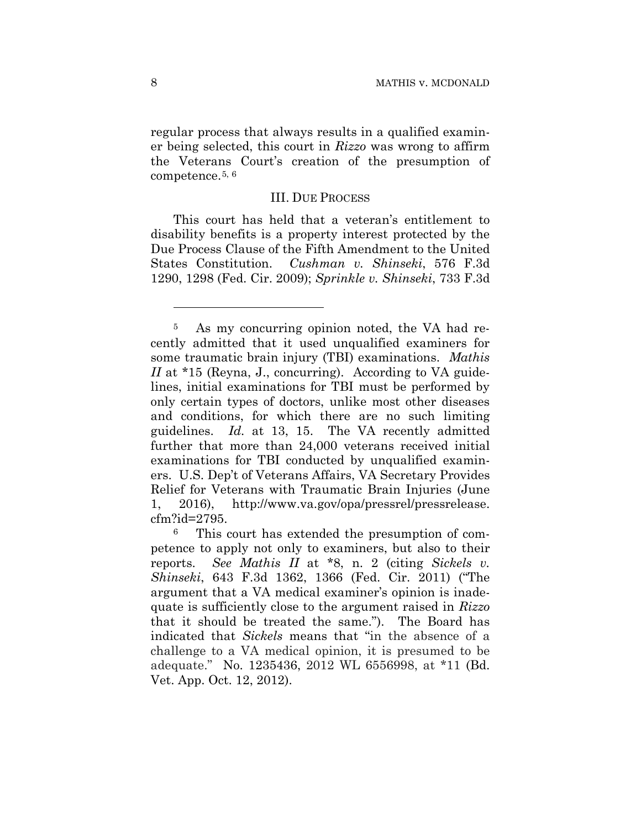regular process that always results in a qualified examiner being selected, this court in *Rizzo* was wrong to affirm the Veterans Court's creation of the presumption of competence.5, 6

#### III. DUE PROCESS

This court has held that a veteran's entitlement to disability benefits is a property interest protected by the Due Process Clause of the Fifth Amendment to the United States Constitution. *Cushman v. Shinseki*, 576 F.3d 1290, 1298 (Fed. Cir. 2009); *Sprinkle v. Shinseki*, 733 F.3d

<u>.</u>

<sup>5</sup> As my concurring opinion noted, the VA had recently admitted that it used unqualified examiners for some traumatic brain injury (TBI) examinations. *Mathis II* at \*15 (Reyna, J., concurring). According to VA guidelines, initial examinations for TBI must be performed by only certain types of doctors, unlike most other diseases and conditions, for which there are no such limiting guidelines. *Id.* at 13, 15. The VA recently admitted further that more than 24,000 veterans received initial examinations for TBI conducted by unqualified examiners. U.S. Dep't of Veterans Affairs, VA Secretary Provides Relief for Veterans with Traumatic Brain Injuries (June 1, 2016), http://www.va.gov/opa/pressrel/pressrelease. cfm?id=2795.

<sup>6</sup> This court has extended the presumption of competence to apply not only to examiners, but also to their reports. *See Mathis II* at \*8, n. 2 (citing *Sickels v. Shinseki*, 643 F.3d 1362, 1366 (Fed. Cir. 2011) ("The argument that a VA medical examiner's opinion is inadequate is sufficiently close to the argument raised in *Rizzo* that it should be treated the same."). The Board has indicated that *Sickels* means that "in the absence of a challenge to a VA medical opinion, it is presumed to be adequate." No. 1235436, 2012 WL 6556998, at \*11 (Bd. Vet. App. Oct. 12, 2012).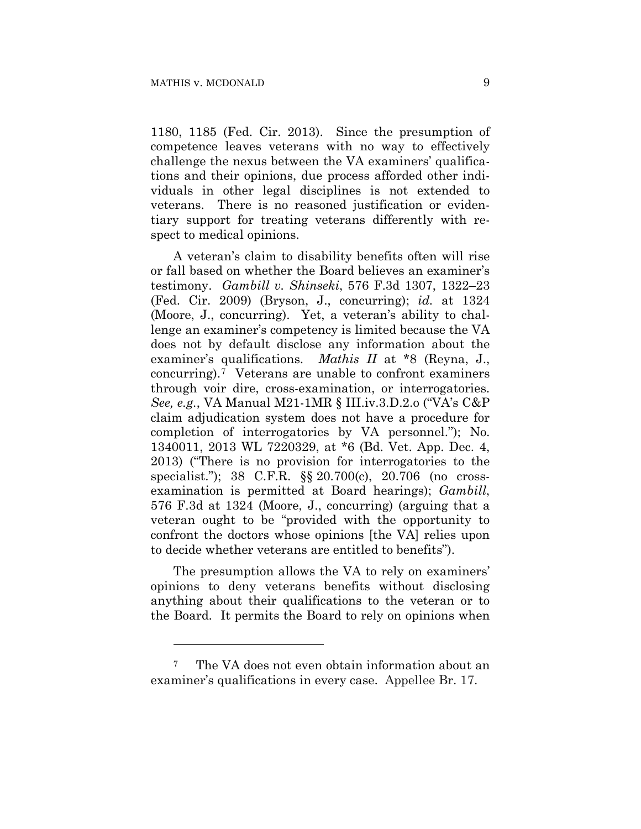1

1180, 1185 (Fed. Cir. 2013). Since the presumption of competence leaves veterans with no way to effectively challenge the nexus between the VA examiners' qualifications and their opinions, due process afforded other individuals in other legal disciplines is not extended to veterans. There is no reasoned justification or evidentiary support for treating veterans differently with respect to medical opinions.

A veteran's claim to disability benefits often will rise or fall based on whether the Board believes an examiner's testimony. *Gambill v. Shinseki*, 576 F.3d 1307, 1322–23 (Fed. Cir. 2009) (Bryson, J., concurring); *id.* at 1324 (Moore, J., concurring). Yet, a veteran's ability to challenge an examiner's competency is limited because the VA does not by default disclose any information about the examiner's qualifications. *Mathis II* at \*8 (Reyna, J., concurring).7 Veterans are unable to confront examiners through voir dire, cross-examination, or interrogatories. *See, e.g.*, VA Manual M21-1MR § III.iv.3.D.2.o ("VA's C&P claim adjudication system does not have a procedure for completion of interrogatories by VA personnel."); No. 1340011, 2013 WL 7220329, at \*6 (Bd. Vet. App. Dec. 4, 2013) ("There is no provision for interrogatories to the specialist."); 38 C.F.R. §§ 20.700(c), 20.706 (no crossexamination is permitted at Board hearings); *Gambill*, 576 F.3d at 1324 (Moore, J., concurring) (arguing that a veteran ought to be "provided with the opportunity to confront the doctors whose opinions [the VA] relies upon to decide whether veterans are entitled to benefits").

The presumption allows the VA to rely on examiners' opinions to deny veterans benefits without disclosing anything about their qualifications to the veteran or to the Board. It permits the Board to rely on opinions when

<sup>7</sup> The VA does not even obtain information about an examiner's qualifications in every case. Appellee Br. 17.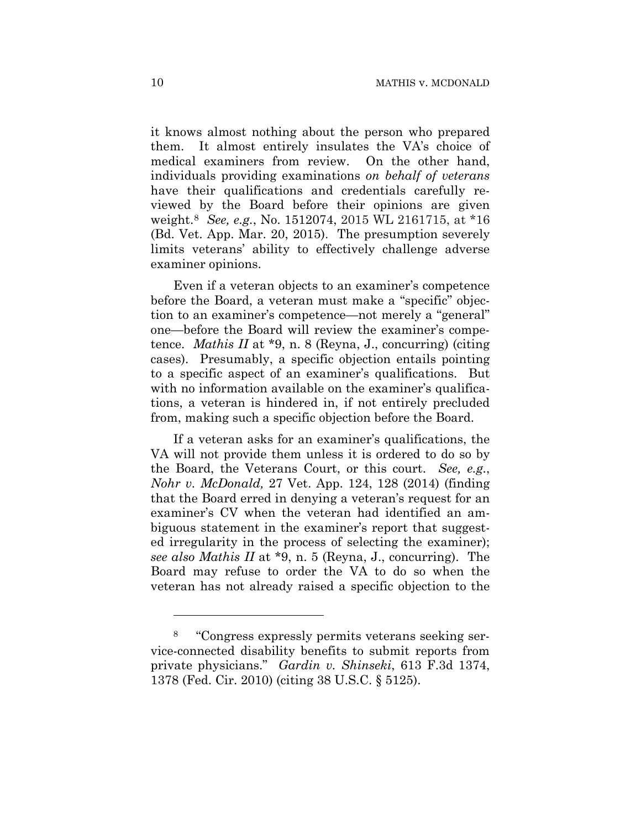it knows almost nothing about the person who prepared them. It almost entirely insulates the VA's choice of medical examiners from review. On the other hand, individuals providing examinations *on behalf of veterans*  have their qualifications and credentials carefully reviewed by the Board before their opinions are given weight.8 *See, e.g.*, No. 1512074, 2015 WL 2161715, at \*16 (Bd. Vet. App. Mar. 20, 2015). The presumption severely limits veterans' ability to effectively challenge adverse examiner opinions.

Even if a veteran objects to an examiner's competence before the Board, a veteran must make a "specific" objection to an examiner's competence—not merely a "general" one—before the Board will review the examiner's competence. *Mathis II* at \*9, n. 8 (Reyna, J., concurring) (citing cases). Presumably, a specific objection entails pointing to a specific aspect of an examiner's qualifications. But with no information available on the examiner's qualifications, a veteran is hindered in, if not entirely precluded from, making such a specific objection before the Board.

If a veteran asks for an examiner's qualifications, the VA will not provide them unless it is ordered to do so by the Board, the Veterans Court, or this court. *See, e.g.*, *Nohr v. McDonald,* 27 Vet. App. 124, 128 (2014) (finding that the Board erred in denying a veteran's request for an examiner's CV when the veteran had identified an ambiguous statement in the examiner's report that suggested irregularity in the process of selecting the examiner); *see also Mathis II* at \*9, n. 5 (Reyna, J., concurring). The Board may refuse to order the VA to do so when the veteran has not already raised a specific objection to the

<u>.</u>

<sup>8 &</sup>quot;Congress expressly permits veterans seeking service-connected disability benefits to submit reports from private physicians." *Gardin v. Shinseki*, 613 F.3d 1374, 1378 (Fed. Cir. 2010) (citing 38 U.S.C. § 5125).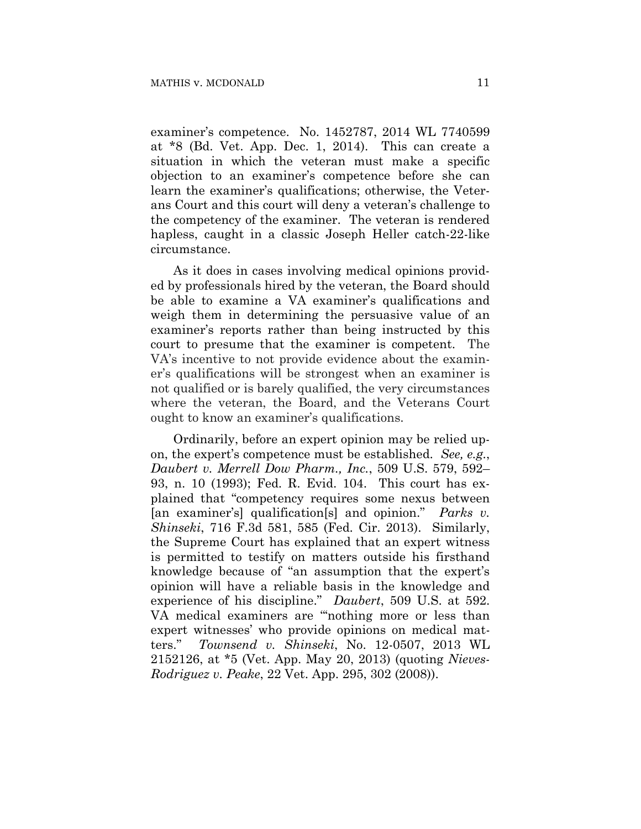examiner's competence. No. 1452787, 2014 WL 7740599 at \*8 (Bd. Vet. App. Dec. 1, 2014). This can create a situation in which the veteran must make a specific objection to an examiner's competence before she can learn the examiner's qualifications; otherwise, the Veterans Court and this court will deny a veteran's challenge to the competency of the examiner. The veteran is rendered hapless, caught in a classic Joseph Heller catch-22-like circumstance.

As it does in cases involving medical opinions provided by professionals hired by the veteran, the Board should be able to examine a VA examiner's qualifications and weigh them in determining the persuasive value of an examiner's reports rather than being instructed by this court to presume that the examiner is competent. The VA's incentive to not provide evidence about the examiner's qualifications will be strongest when an examiner is not qualified or is barely qualified, the very circumstances where the veteran, the Board, and the Veterans Court ought to know an examiner's qualifications.

Ordinarily, before an expert opinion may be relied upon, the expert's competence must be established. *See, e.g.*, *Daubert v. Merrell Dow Pharm., Inc.*, 509 U.S. 579, 592– 93, n. 10 (1993); Fed. R. Evid. 104. This court has explained that "competency requires some nexus between [an examiner's] qualification[s] and opinion." *Parks v. Shinseki*, 716 F.3d 581, 585 (Fed. Cir. 2013). Similarly, the Supreme Court has explained that an expert witness is permitted to testify on matters outside his firsthand knowledge because of "an assumption that the expert's opinion will have a reliable basis in the knowledge and experience of his discipline." *Daubert*, 509 U.S. at 592. VA medical examiners are "'nothing more or less than expert witnesses' who provide opinions on medical matters." *Townsend v. Shinseki*, No. 12-0507, 2013 WL 2152126, at \*5 (Vet. App. May 20, 2013) (quoting *Nieves-Rodriguez v. Peake*, 22 Vet. App. 295, 302 (2008)).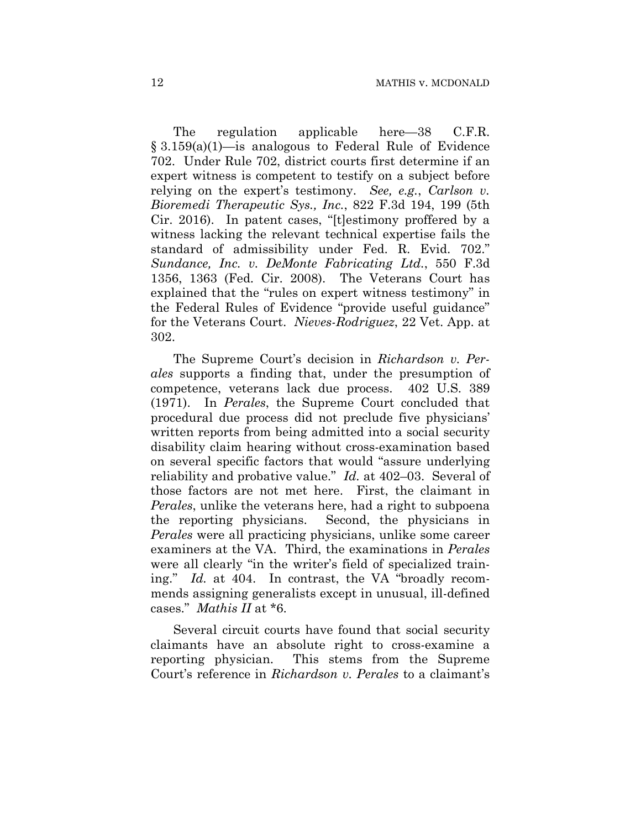The regulation applicable here—38 C.F.R. § 3.159(a)(1)—is analogous to Federal Rule of Evidence 702. Under Rule 702, district courts first determine if an expert witness is competent to testify on a subject before relying on the expert's testimony. *See, e.g.*, *Carlson v. Bioremedi Therapeutic Sys., Inc.*, 822 F.3d 194, 199 (5th Cir. 2016). In patent cases, "[t]estimony proffered by a witness lacking the relevant technical expertise fails the standard of admissibility under Fed. R. Evid. 702." *Sundance, Inc. v. DeMonte Fabricating Ltd.*, 550 F.3d 1356, 1363 (Fed. Cir. 2008). The Veterans Court has explained that the "rules on expert witness testimony" in the Federal Rules of Evidence "provide useful guidance" for the Veterans Court. *Nieves-Rodriguez*, 22 Vet. App. at 302.

The Supreme Court's decision in *Richardson v. Perales* supports a finding that, under the presumption of competence, veterans lack due process. 402 U.S. 389 (1971). In *Perales*, the Supreme Court concluded that procedural due process did not preclude five physicians' written reports from being admitted into a social security disability claim hearing without cross-examination based on several specific factors that would "assure underlying reliability and probative value." *Id.* at 402–03. Several of those factors are not met here. First, the claimant in *Perales*, unlike the veterans here, had a right to subpoena the reporting physicians. Second, the physicians in *Perales* were all practicing physicians, unlike some career examiners at the VA. Third, the examinations in *Perales* were all clearly "in the writer's field of specialized training." *Id.* at 404. In contrast, the VA "broadly recommends assigning generalists except in unusual, ill-defined cases." *Mathis II* at \*6.

Several circuit courts have found that social security claimants have an absolute right to cross-examine a reporting physician. This stems from the Supreme Court's reference in *Richardson v. Perales* to a claimant's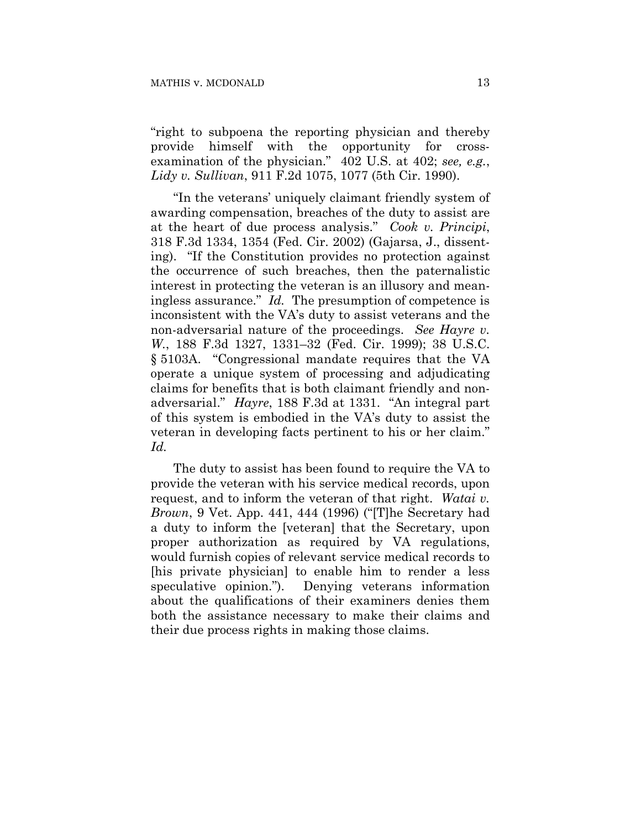"right to subpoena the reporting physician and thereby provide himself with the opportunity for crossexamination of the physician." 402 U.S. at 402; *see, e.g.*, *Lidy v. Sullivan*, 911 F.2d 1075, 1077 (5th Cir. 1990).

"In the veterans' uniquely claimant friendly system of awarding compensation, breaches of the duty to assist are at the heart of due process analysis." *Cook v. Principi*, 318 F.3d 1334, 1354 (Fed. Cir. 2002) (Gajarsa, J., dissenting). "If the Constitution provides no protection against the occurrence of such breaches, then the paternalistic interest in protecting the veteran is an illusory and meaningless assurance." *Id.* The presumption of competence is inconsistent with the VA's duty to assist veterans and the non-adversarial nature of the proceedings. *See Hayre v. W.*, 188 F.3d 1327, 1331–32 (Fed. Cir. 1999); 38 U.S.C. § 5103A. "Congressional mandate requires that the VA operate a unique system of processing and adjudicating claims for benefits that is both claimant friendly and nonadversarial." *Hayre*, 188 F.3d at 1331. "An integral part of this system is embodied in the VA's duty to assist the veteran in developing facts pertinent to his or her claim." *Id.* 

The duty to assist has been found to require the VA to provide the veteran with his service medical records, upon request, and to inform the veteran of that right. *Watai v. Brown*, 9 Vet. App. 441, 444 (1996) ("[T]he Secretary had a duty to inform the [veteran] that the Secretary, upon proper authorization as required by VA regulations, would furnish copies of relevant service medical records to [his private physician] to enable him to render a less speculative opinion."). Denying veterans information about the qualifications of their examiners denies them both the assistance necessary to make their claims and their due process rights in making those claims.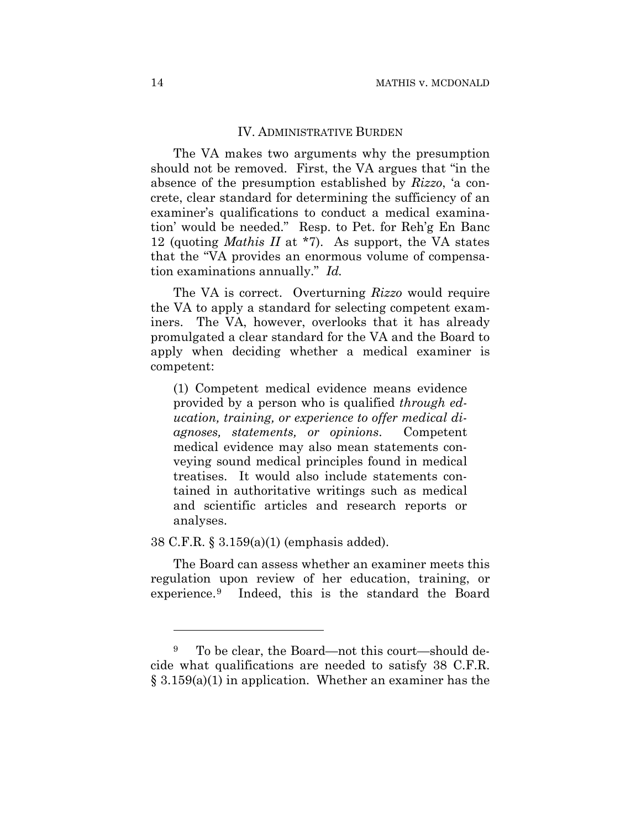#### IV. ADMINISTRATIVE BURDEN

The VA makes two arguments why the presumption should not be removed. First, the VA argues that "in the absence of the presumption established by *Rizzo*, 'a concrete, clear standard for determining the sufficiency of an examiner's qualifications to conduct a medical examination' would be needed." Resp. to Pet. for Reh'g En Banc 12 (quoting *Mathis II* at \*7). As support, the VA states that the "VA provides an enormous volume of compensation examinations annually." *Id.*

The VA is correct. Overturning *Rizzo* would require the VA to apply a standard for selecting competent examiners. The VA, however, overlooks that it has already promulgated a clear standard for the VA and the Board to apply when deciding whether a medical examiner is competent:

(1) Competent medical evidence means evidence provided by a person who is qualified *through education, training, or experience to offer medical diagnoses, statements, or opinions*. Competent medical evidence may also mean statements conveying sound medical principles found in medical treatises. It would also include statements contained in authoritative writings such as medical and scientific articles and research reports or analyses.

38 C.F.R. § 3.159(a)(1) (emphasis added).

1

The Board can assess whether an examiner meets this regulation upon review of her education, training, or experience.9 Indeed, this is the standard the Board

<sup>9</sup> To be clear, the Board—not this court—should decide what qualifications are needed to satisfy 38 C.F.R. § 3.159(a)(1) in application. Whether an examiner has the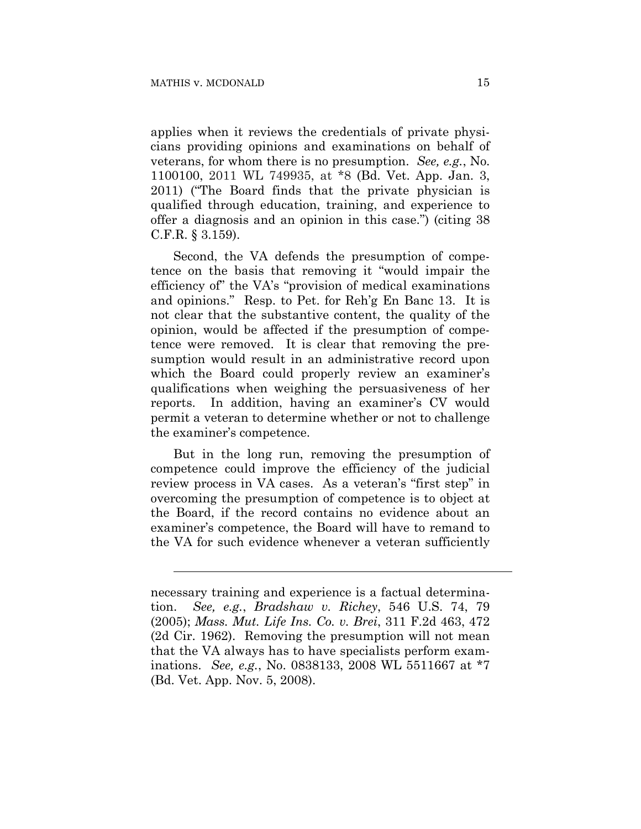$\overline{a}$ 

applies when it reviews the credentials of private physicians providing opinions and examinations on behalf of veterans, for whom there is no presumption. *See, e.g.*, No. 1100100, 2011 WL 749935, at \*8 (Bd. Vet. App. Jan. 3, 2011) ("The Board finds that the private physician is qualified through education, training, and experience to offer a diagnosis and an opinion in this case.") (citing 38 C.F.R. § 3.159).

Second, the VA defends the presumption of competence on the basis that removing it "would impair the efficiency of" the VA's "provision of medical examinations and opinions." Resp. to Pet. for Reh'g En Banc 13. It is not clear that the substantive content, the quality of the opinion, would be affected if the presumption of competence were removed. It is clear that removing the presumption would result in an administrative record upon which the Board could properly review an examiner's qualifications when weighing the persuasiveness of her reports. In addition, having an examiner's CV would permit a veteran to determine whether or not to challenge the examiner's competence.

But in the long run, removing the presumption of competence could improve the efficiency of the judicial review process in VA cases. As a veteran's "first step" in overcoming the presumption of competence is to object at the Board, if the record contains no evidence about an examiner's competence, the Board will have to remand to the VA for such evidence whenever a veteran sufficiently

necessary training and experience is a factual determination. *See, e.g.*, *Bradshaw v. Richey*, 546 U.S. 74, 79 (2005); *Mass. Mut. Life Ins. Co. v. Brei*, 311 F.2d 463, 472 (2d Cir. 1962). Removing the presumption will not mean that the VA always has to have specialists perform examinations. *See, e.g.*, No. 0838133, 2008 WL 5511667 at \*7 (Bd. Vet. App. Nov. 5, 2008).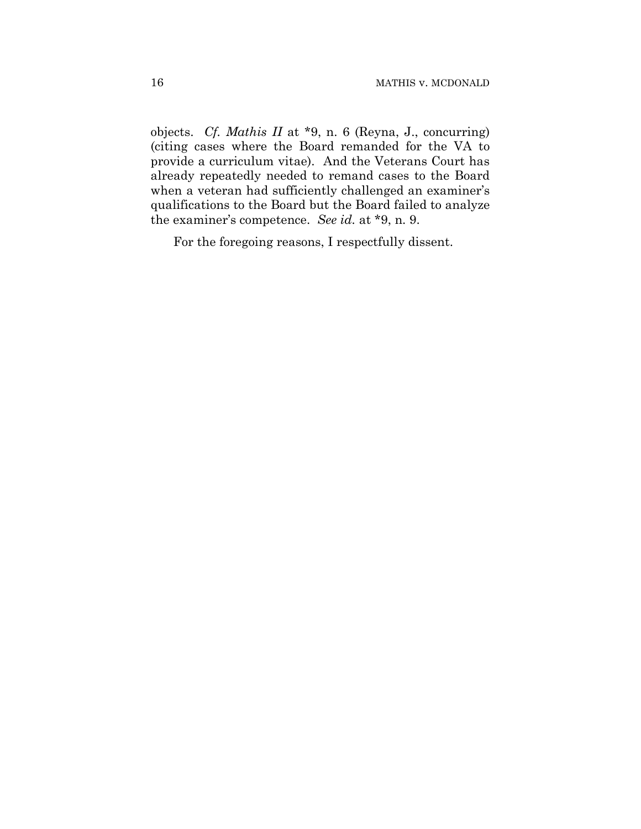objects. *Cf. Mathis II* at \*9, n. 6 (Reyna, J., concurring) (citing cases where the Board remanded for the VA to provide a curriculum vitae). And the Veterans Court has already repeatedly needed to remand cases to the Board when a veteran had sufficiently challenged an examiner's qualifications to the Board but the Board failed to analyze the examiner's competence. *See id.* at \*9, n. 9.

For the foregoing reasons, I respectfully dissent.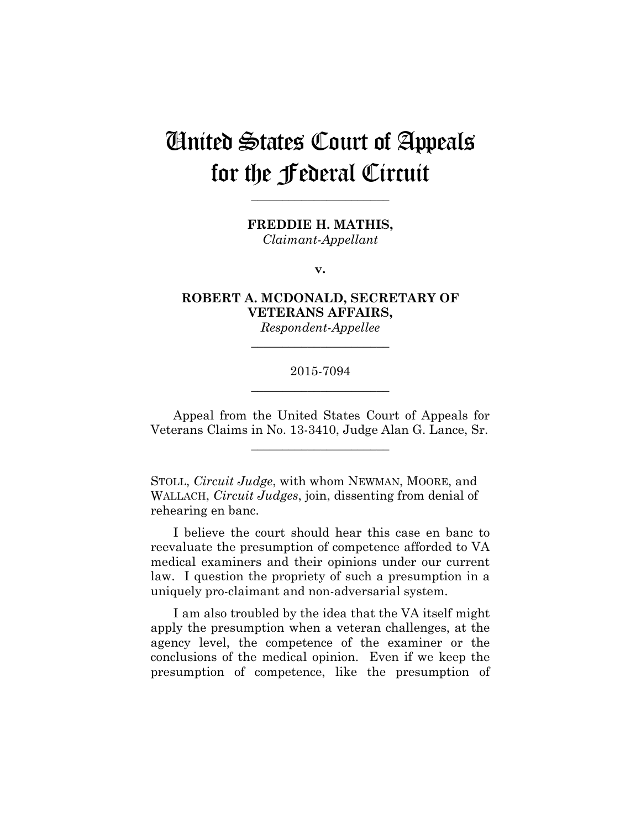# United States Court of Appeals for the Federal Circuit

**FREDDIE H. MATHIS,**

**\_\_\_\_\_\_\_\_\_\_\_\_\_\_\_\_\_\_\_\_\_\_** 

*Claimant-Appellant*

**v.**

**ROBERT A. MCDONALD, SECRETARY OF VETERANS AFFAIRS,**

*Respondent-Appellee* **\_\_\_\_\_\_\_\_\_\_\_\_\_\_\_\_\_\_\_\_\_\_** 

## 2015-7094 **\_\_\_\_\_\_\_\_\_\_\_\_\_\_\_\_\_\_\_\_\_\_**

Appeal from the United States Court of Appeals for Veterans Claims in No. 13-3410, Judge Alan G. Lance, Sr.

**\_\_\_\_\_\_\_\_\_\_\_\_\_\_\_\_\_\_\_\_\_\_** 

STOLL, *Circuit Judge*, with whom NEWMAN, MOORE, and WALLACH, *Circuit Judges*, join, dissenting from denial of rehearing en banc.

I believe the court should hear this case en banc to reevaluate the presumption of competence afforded to VA medical examiners and their opinions under our current law. I question the propriety of such a presumption in a uniquely pro-claimant and non-adversarial system.

I am also troubled by the idea that the VA itself might apply the presumption when a veteran challenges, at the agency level, the competence of the examiner or the conclusions of the medical opinion. Even if we keep the presumption of competence, like the presumption of